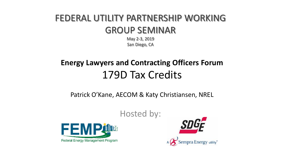# FEDERAL UTILITY PARTNERSHIP WORKING GROUP SEMINAR

May 2-3, 2019 San Diego, CA

# **Energy Lawyers and Contracting Officers Forum**  179D Tax Credits

Patrick O'Kane, AECOM & Katy Christiansen, NREL



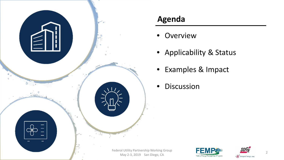

#### **Agenda**

- Overview
- Applicability & Status
- Examples & Impact
- Discussion



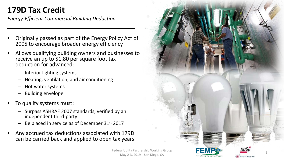## **179D Tax Credit**

*Energy-Efficient Commercial Building Deduction*

- Originally passed as part of the Energy Policy Act of 2005 to encourage broader energy efficiency
- Allows qualifying building owners and businesses to receive an up to \$1.80 per square foot tax deduction for advanced:
	- Interior lighting systems
	- Heating, ventilation, and air conditioning
	- Hot water systems
	- Building envelope
- To qualify systems must:
	- Surpass ASHRAE 2007 standards, verified by an independent third-party
	- Be placed in service as of December 31<sup>st</sup> 2017
- Any accrued tax deductions associated with 179D can be carried back and applied to open tax years



Federal Utility Partnership Working Group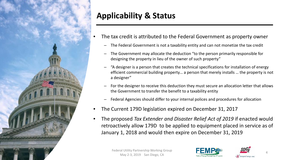

## **Applicability & Status**

- The tax credit is attributed to the Federal Government as property owner
	- The Federal Government is not a taxability entity and can not monetize the tax credit
	- The Government may allocate the deduction "to the person primarily responsible for designing the property in lieu of the owner of such property"
	- "A designer is a person that creates the technical specifications for installation of energy efficient commercial building property… a person that merely installs … the property is not a designer"
	- For the designer to receive this deduction they must secure an allocation letter that allows the Government to transfer the benefit to a taxability entity
	- Federal Agencies should differ to your internal polices and procedures for allocation
- The Current 179D legislation expired on December 31, 2017
- The proposed *Tax Extender and Disaster Relief Act of 2019* if enacted would retroactively allow 179D to be applied to equipment placed in service as of January 1, 2018 and would then expire on December 31, 2019



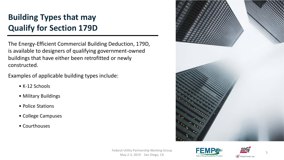## **Building Types that may Qualify for Section 179D**

The Energy-Efficient Commercial Building Deduction, 179D, is available to designers of qualifying government-owned buildings that have either been retrofitted or newly constructed.

Examples of applicable building types include:

- K-12 Schools
- Military Buildings
- Police Stations
- College Campuses
- Courthouses





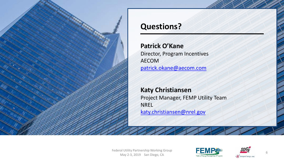

#### **Questions?**

#### **Patrick O'Kane**

Director, Program Incentives AECOM [patrick.okane@aecom.com](mailto:patrick.okane@aecom.com)

#### **Katy Christiansen**

Project Manager, FEMP Utility Team NREL [katy.christiansen@nrel.gov](mailto:katy.christiansen@nrel.gov)